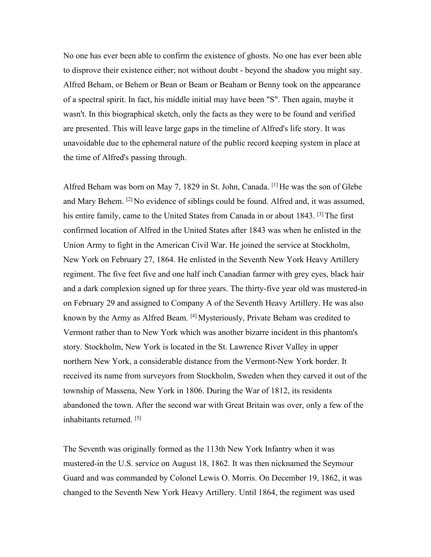No one has ever been able to confirm the existence of ghosts. No one has ever been able to disprove their existence either; not without doubt - beyond the shadow you might say. Alfred Beham, or Behem or Bean or Beam or Beaham or Benny took on the appearance of a spectral spirit. In fact, his middle initial may have been "S". Then again, maybe it wasn't. In this biographical sketch, only the facts as they were to be found and verified are presented. This will leave large gaps in the timeline of Alfred's life story. It was unavoidable due to the ephemeral nature of the public record keeping system in place at the time of Alfred's passing through.

Alfred Beham was born on May 7, 1829 in St. John, Canada. <sup>[1]</sup> He was the son of Glebe and Mary Behem. [2] No evidence of siblings could be found. Alfred and, it was assumed, his entire family, came to the United States from Canada in or about 1843. <sup>[3]</sup> The first confirmed location of Alfred in the United States after 1843 was when he enlisted in the Union Army to fight in the American Civil War. He joined the service at Stockholm, New York on February 27,1864. He enlisted in the Seventh New York Heavy Artillery regiment. The five feet five and one half inch Canadian farmer with grey eyes, black hair and a dark complexion signed up for three years. The thirty-five year old was mustered-in on February 29 and assigned to Company A of the Seventh Heavy Artillery. He was also known by the Army as Alfred Beam. <sup>[4]</sup> Mysteriously, Private Beham was credited to Vermont rather than to New York which was another bizarre incident in this phantom's story. Stockholm, New York is located in the St. Lawrence River Valley in upper northern New York, a considerable distance from the Vermont-New York border. It received its name from surveyors from Stockholm, Sweden when they carved it out of the township of Massena, New York in 1806. During the War of 1812, its residents abandoned the town. After the second war with Great Britain was over, only a few of the inhabitants returned. [5]

The Seventh was originally formed as the 113th New York Infantry when it was mustered-in the U.S. service on August 18, 1862. It was then nicknamed the Seymour Guard and was commanded by Colonel Lewis O. Morris. On December 19, 1862, it was changed to the Seventh New York Heavy Artillery. Until 1864, the regiment was used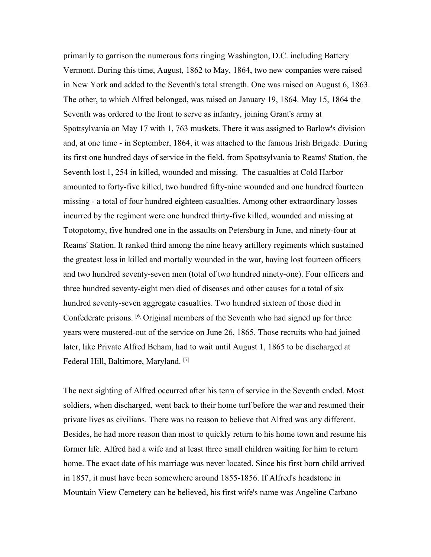primarily to garrison the numerous forts ringing Washington, D.C. including Battery Vermont. During this time, August, 1862 to May, 1864, two new companies were raised in New York and added to the Seventh's total strength. One was raised on August 6, 1863. The other, to which Alfred belonged, was raised on January 19, 1864. May 15, 1864 the Seventh was ordered to the front to serve as infantry, joining Grant's army at Spottsylvania on May 17 with 1, 763 muskets. There it was assigned to Barlow's division and, at one time - in September,1864, it was attached to the famous Irish Brigade. During its first one hundred days of service in the field, from Spottsylvania to Reams' Station, the Seventh lost 1, 254 in killed, wounded and missing. The casualties at Cold Harbor amounted to forty-five killed, two hundred fifty-nine wounded and one hundred fourteen missing - a total of four hundred eighteen casualties. Among other extraordinary losses incurred by the regiment were one hundred thirty-five killed, wounded and missing at Totopotomy, five hundred one in the assaults on Petersburg in June, and ninety-four at Reams' Station. It ranked third among the nine heavy artillery regiments which sustained the greatest loss in killed and mortally wounded in the war, having lost fourteen officers and two hundred seventy-seven men (total of two hundred ninety-one). Four officers and three hundred seventy-eight men died of diseases and other causes for a total of six hundred seventy-seven aggregate casualties. Two hundred sixteen of those died in Confederate prisons. <sup>[6]</sup> Original members of the Seventh who had signed up for three years were mustered-out of the service on June 26, 1865. Those recruits who had joined later, like Private Alfred Beham, had to wait until August 1, 1865 to be discharged at Federal Hill, Baltimore, Maryland. [7]

The next sighting of Alfred occurred after his term of service in the Seventh ended. Most soldiers, when discharged, went back to their home turf before the war and resumed their private lives as civilians. There was no reason to believe that Alfred was any different. Besides, he had more reason than most to quickly return to his home town and resume his former life. Alfred had a wife and at least three small children waiting for him to return home. The exact date of his marriage was never located. Since his first born child arrived in 1857, it must have been somewhere around 1855-1856. If Alfred's headstone in Mountain View Cemetery can be believed, his first wife's name was Angeline Carbano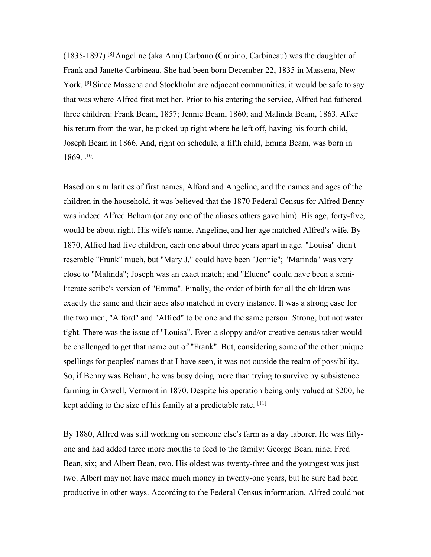(1835-1897) [8] Angeline (aka Ann) Carbano (Carbino, Carbineau) was the daughter of Frank and Janette Carbineau. She had been born December 22, 1835 in Massena, New York. [9] Since Massena and Stockholm are adjacent communities, it would be safe to say that was where Alfred first met her. Prior to his entering the service, Alfred had fathered three children: Frank Beam, 1857; Jennie Beam, 1860; and Malinda Beam, 1863. After his return from the war, he picked up right where he left off, having his fourth child, Joseph Beam in 1866. And, right on schedule, a fifth child, Emma Beam, was born in 1869. [10]

Based on similarities of first names, Alford and Angeline, and the names and ages of the children in the household, it was believed that the 1870 Federal Census for Alfred Benny was indeed Alfred Beham (or any one of the aliases others gave him). His age, forty-five, would be about right. His wife's name, Angeline, and her age matched Alfred's wife. By 1870, Alfred had five children, each one about three years apart in age. "Louisa" didn't resemble "Frank" much, but "Mary J." could have been "Jennie"; "Marinda" was very close to "Malinda"; Joseph was an exact match; and "Eluene" could have been a semiliterate scribe's version of "Emma". Finally, the order of birth for all the children was exactly the same and their ages also matched in every instance. It was a strong case for the two men, "Alford" and "Alfred" to be one and the same person. Strong, but not water tight. There was the issue of "Louisa". Even a sloppy and/or creative census taker would be challenged to get that name out of "Frank". But, considering some of the other unique spellings for peoples' names that I have seen, it was not outside the realm of possibility. So, if Benny was Beham, he was busy doing more than trying to survive by subsistence farming in Orwell, Vermont in 1870. Despite his operation being only valued at \$200, he kept adding to the size of his family at a predictable rate. [11]

By 1880, Alfred was still working on someone else's farm as a day laborer. He was fifty one and had added three more mouths to feed to the family: George Bean, nine; Fred Bean, six; and Albert Bean, two. His oldest was twenty-three and the youngest was just two. Albert may not have made much money in twenty-one years, but he sure had been productive in other ways. According to the Federal Census information, Alfred could not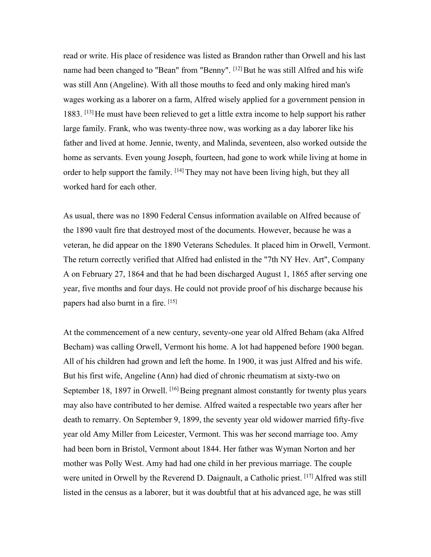read or write. His place of residence was listed as Brandon rather than Orwell and his last name had been changed to "Bean" from "Benny". <sup>[12]</sup> But he was still Alfred and his wife was still Ann (Angeline). With all those mouths to feed and only making hired man's wages working as a laborer on a farm, Alfred wisely applied for a government pension in 1883. [13]He must have been relieved to get a little extra income to help support his rather large family. Frank, who was twenty-three now, was working as a day laborer like his father and lived at home. Jennie, twenty, and Malinda, seventeen, also worked outside the home as servants. Even young Joseph, fourteen, had gone to work while living at home in order to help support the family. <sup>[14]</sup> They may not have been living high, but they all worked hard for each other.

As usual, there was no 1890 Federal Census information available on Alfred because of the 1890 vault fire that destroyed most of the documents. However, because he was a veteran, he did appear on the 1890 Veterans Schedules. It placed him in Orwell, Vermont. The return correctly verified that Alfred had enlisted in the "7th NY Hev. Art", Company A on February 27, 1864 and that he had been discharged August 1, 1865 after serving one year, five months and four days. He could not provide proof of his discharge because his papers had also burnt in a fire. [15]

At the commencement of a new century, seventy-one year old Alfred Beham (aka Alfred Becham) was calling Orwell, Vermont his home. A lot had happened before 1900 began. All of his children had grown and left the home. In 1900, it was just Alfred and his wife. But his first wife, Angeline (Ann) had died of chronic rheumatism at sixty-two on September 18, 1897 in Orwell. [16] Being pregnant almost constantly for twenty plus years may also have contributed to her demise. Alfred waited a respectable two years after her death to remarry. On September 9, 1899, the seventy year old widower married fifty-five year old Amy Miller from Leicester, Vermont. This was her second marriage too. Amy had been born in Bristol, Vermont about 1844. Her father was Wyman Norton and her mother was Polly West. Amy had had one child in her previous marriage. The couple were united in Orwell by the Reverend D. Daignault, a Catholic priest. [17] Alfred was still listed in the census as a laborer, but it was doubtful that at his advanced age, he was still